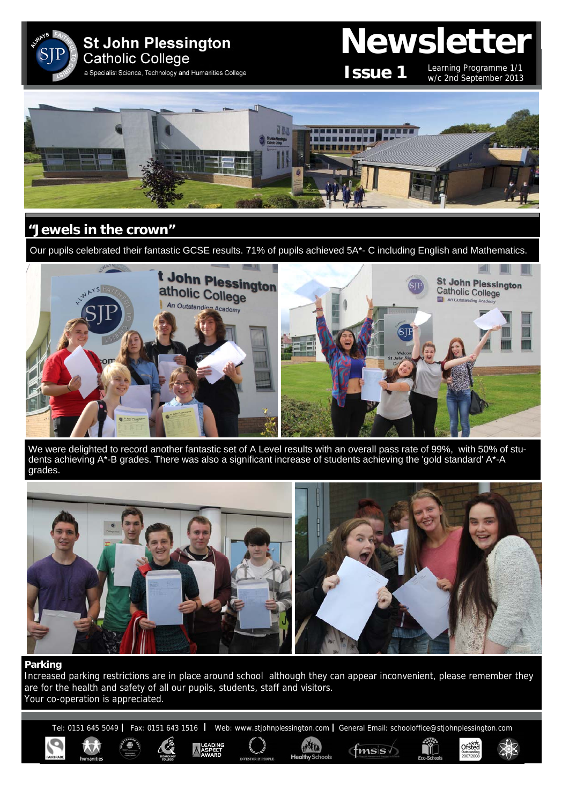

# **Newsletter**

**Issue 1**

Learning Programme 1/1 w/c 2nd September 2013

Ofsted



## **"Jewels in the crown"**

Our pupils celebrated their fantastic GCSE results. 71% of pupils achieved 5A\*- C including English and Mathematics.



We were delighted to record another fantastic set of A Level results with an overall pass rate of 99%, with 50% of students achieving A\*-B grades. There was also a significant increase of students achieving the 'gold standard' A\*-A grades.



#### **Parking**

Increased parking restrictions are in place around school although they can appear inconvenient, please remember they are for the health and safety of all our pupils, students, staff and visitors. Your co-operation is appreciated.

Tel: 0151 645 5049 | Fax: 0151 643 1516 | Web: www.stjohnplessington.com | General Email: schooloffice@stjohnplessington.com

HAIL

 ${\rm fmsis}$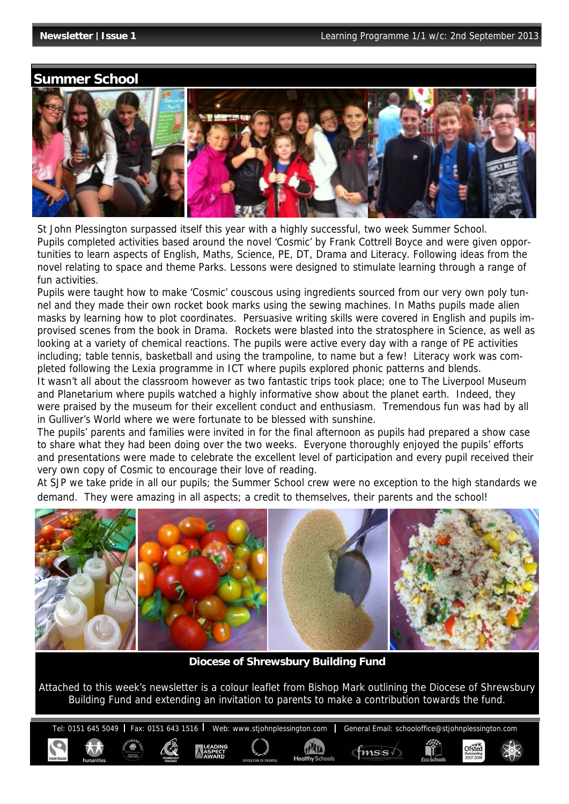Ofsted

### **Summer School**



St John Plessington surpassed itself this year with a highly successful, two week Summer School. Pupils completed activities based around the novel 'Cosmic' by Frank Cottrell Boyce and were given opportunities to learn aspects of English, Maths, Science, PE, DT, Drama and Literacy. Following ideas from the novel relating to space and theme Parks. Lessons were designed to stimulate learning through a range of fun activities.

Pupils were taught how to make 'Cosmic' couscous using ingredients sourced from our very own poly tunnel and they made their own rocket book marks using the sewing machines. In Maths pupils made alien masks by learning how to plot coordinates. Persuasive writing skills were covered in English and pupils improvised scenes from the book in Drama. Rockets were blasted into the stratosphere in Science, as well as looking at a variety of chemical reactions. The pupils were active every day with a range of PE activities including; table tennis, basketball and using the trampoline, to name but a few! Literacy work was completed following the Lexia programme in ICT where pupils explored phonic patterns and blends.

It wasn't all about the classroom however as two fantastic trips took place; one to The Liverpool Museum and Planetarium where pupils watched a highly informative show about the planet earth. Indeed, they were praised by the museum for their excellent conduct and enthusiasm. Tremendous fun was had by all in Gulliver's World where we were fortunate to be blessed with sunshine.

The pupils' parents and families were invited in for the final afternoon as pupils had prepared a show case to share what they had been doing over the two weeks. Everyone thoroughly enjoyed the pupils' efforts and presentations were made to celebrate the excellent level of participation and every pupil received their very own copy of Cosmic to encourage their love of reading.

At SJP we take pride in all our pupils; the Summer School crew were no exception to the high standards we demand. They were amazing in all aspects; a credit to themselves, their parents and the school!



**Diocese of Shrewsbury Building Fund** 

Attached to this week's newsletter is a colour leaflet from Bishop Mark outlining the Diocese of Shrewsbury Building Fund and extending an invitation to parents to make a contribution towards the fund.

Tel: 0151 645 5049 | Fax: 0151 643 1516 | Web: www.stjohnplessington.com | General Email: schooloffice@stjohnplessington.com

 $f$ <sub>msis</sub>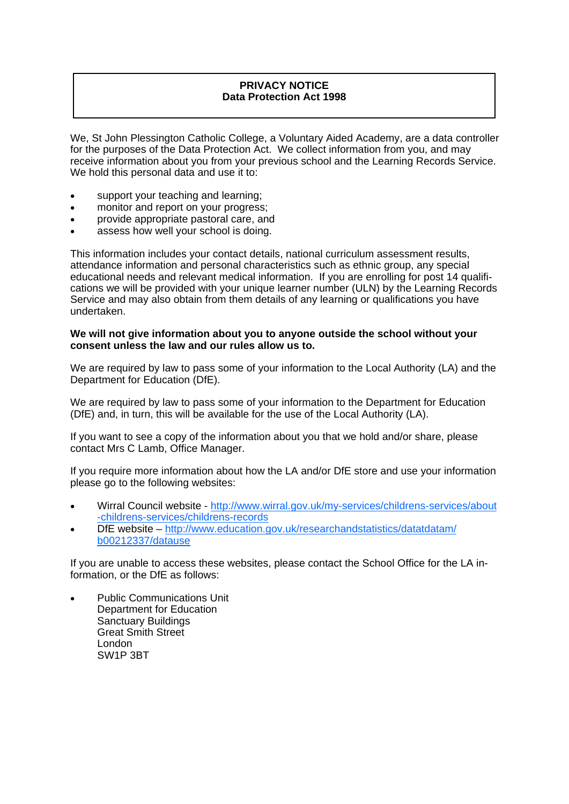#### **PRIVACY NOTICE Data Protection Act 1998**

We, St John Plessington Catholic College, a Voluntary Aided Academy, are a data controller for the purposes of the Data Protection Act. We collect information from you, and may receive information about you from your previous school and the Learning Records Service. We hold this personal data and use it to:

- support your teaching and learning:
- monitor and report on your progress;
- provide appropriate pastoral care, and
- assess how well your school is doing.

This information includes your contact details, national curriculum assessment results, attendance information and personal characteristics such as ethnic group, any special educational needs and relevant medical information. If you are enrolling for post 14 qualifications we will be provided with your unique learner number (ULN) by the Learning Records Service and may also obtain from them details of any learning or qualifications you have undertaken.

#### **We will not give information about you to anyone outside the school without your consent unless the law and our rules allow us to.**

We are required by law to pass some of your information to the Local Authority (LA) and the Department for Education (DfE).

We are required by law to pass some of your information to the Department for Education (DfE) and, in turn, this will be available for the use of the Local Authority (LA).

If you want to see a copy of the information about you that we hold and/or share, please contact Mrs C Lamb, Office Manager.

If you require more information about how the LA and/or DfE store and use your information please go to the following websites:

- Wirral Council website http://www.wirral.gov.uk/my-services/childrens-services/about -childrens-services/childrens-records
- DfE website http://www.education.gov.uk/researchandstatistics/datatdatam/ b00212337/datause

If you are unable to access these websites, please contact the School Office for the LA information, or the DfE as follows:

 Public Communications Unit Department for Education Sanctuary Buildings Great Smith Street London SW1P 3BT